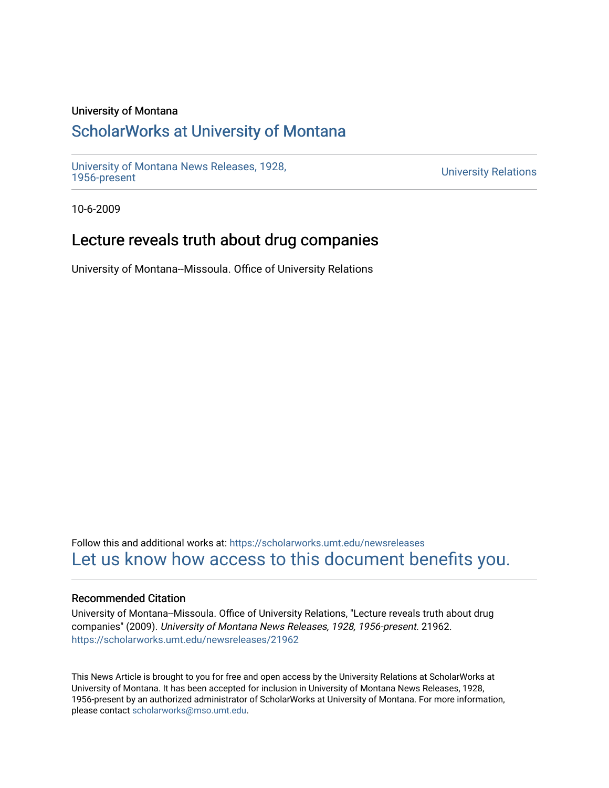### University of Montana

# [ScholarWorks at University of Montana](https://scholarworks.umt.edu/)

[University of Montana News Releases, 1928,](https://scholarworks.umt.edu/newsreleases) 

**University Relations** 

10-6-2009

# Lecture reveals truth about drug companies

University of Montana--Missoula. Office of University Relations

Follow this and additional works at: [https://scholarworks.umt.edu/newsreleases](https://scholarworks.umt.edu/newsreleases?utm_source=scholarworks.umt.edu%2Fnewsreleases%2F21962&utm_medium=PDF&utm_campaign=PDFCoverPages) [Let us know how access to this document benefits you.](https://goo.gl/forms/s2rGfXOLzz71qgsB2) 

### Recommended Citation

University of Montana--Missoula. Office of University Relations, "Lecture reveals truth about drug companies" (2009). University of Montana News Releases, 1928, 1956-present. 21962. [https://scholarworks.umt.edu/newsreleases/21962](https://scholarworks.umt.edu/newsreleases/21962?utm_source=scholarworks.umt.edu%2Fnewsreleases%2F21962&utm_medium=PDF&utm_campaign=PDFCoverPages) 

This News Article is brought to you for free and open access by the University Relations at ScholarWorks at University of Montana. It has been accepted for inclusion in University of Montana News Releases, 1928, 1956-present by an authorized administrator of ScholarWorks at University of Montana. For more information, please contact [scholarworks@mso.umt.edu.](mailto:scholarworks@mso.umt.edu)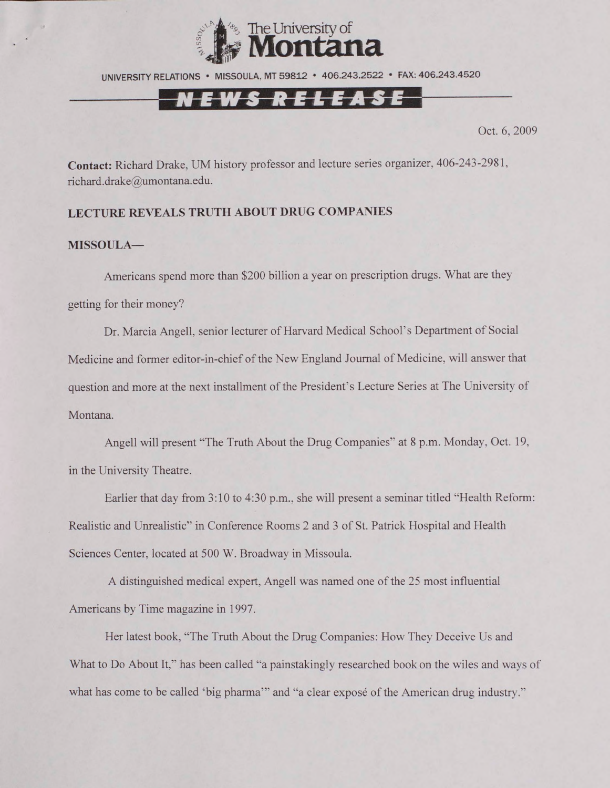

UNIVERSITY RELATIONS • MISSOULA. MT 59812 • 406.243.2522 • FAX: 406.243.4520

## <u>N E W S R E L E A S E </u>

Oct. 6, 2009

**Contact:** Richard Drake, UM history professor and lecture series organizer, 406-243-2981, [richard.drake@umontana.edu.](mailto:richard.drake@umontana.edu)

#### **LECTURE REVEALS TRUTH ABOUT DRUG COMPANIES**

#### **MISSOULA—**

Americans spend more than \$200 billion a year on prescription drugs. What are they getting for their money?

Dr. Marcia Angell, senior lecturer of Harvard Medical School's Department of Social Medicine and former editor-in-chief of the New England Journal of Medicine, will answer that question and more at the next installment of the President's Lecture Series at The University of Montana.

Angell will present "The Truth About the Drug Companies" at 8 p.m. Monday, Oct. 19, in the University Theatre.

Earlier that day from 3:10 to 4:30 p.m., she will present a seminar titled "Health Reform: Realistic and Unrealistic" in Conference Rooms 2 and 3 of St. Patrick Hospital and Health Sciences Center, located at 500 W. Broadway in Missoula.

A distinguished medical expert, Angell was named one of the 25 most influential Americans by Time magazine in 1997.

Her latest book, "The Truth About the Drug Companies: How They Deceive Us and What to Do About It," has been called "a painstakingly researched book on the wiles and ways of what has come to be called 'big pharma'" and "a clear expose of the American drug industry."